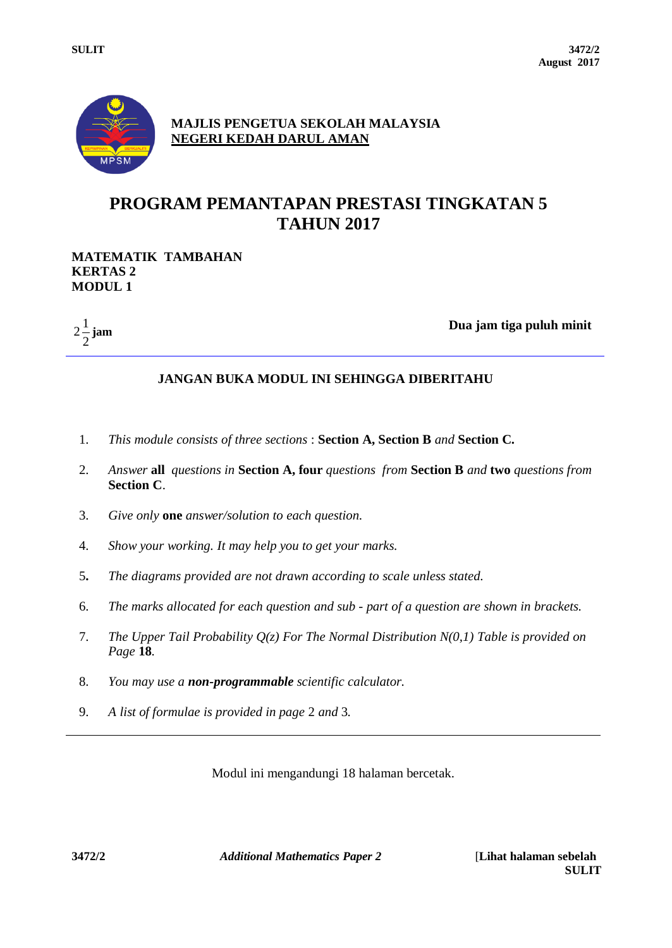

**MAJLIS PENGETUA SEKOLAH MALAYSIA NEGERI KEDAH DARUL AMAN**

# **PROGRAM PEMANTAPAN PRESTASI TINGKATAN 5 TAHUN 2017**

#### **MATEMATIK TAMBAHAN KERTAS 2 MODUL 1**

2  $2\frac{1}{2}$ 

**jam Dua jam tiga puluh minit** 

## **JANGAN BUKA MODUL INI SEHINGGA DIBERITAHU**

- 1. *This module consists of three sections* : **Section A, Section B** *and* **Section C.**
- 2. *Answer* **all** *questions in* **Section A, four** *questions from* **Section B** *and* **two** *questions from* **Section C**.
- 3. *Give only* **one** *answer/solution to each question.*
- 4. *Show your working. It may help you to get your marks.*
- 5**.** *The diagrams provided are not drawn according to scale unless stated.*
- 6. *The marks allocated for each question and sub - part of a question are shown in brackets.*
- 7. *The Upper Tail Probability Q(z) For The Normal Distribution N(0,1) Table is provided on Page* **18***.*
- 8. *You may use a non-programmable scientific calculator.*
- 9. *A list of formulae is provided in page* 2 *and* 3*.*

Modul ini mengandungi 18 halaman bercetak.

**3472/2** *Additional Mathematics Paper 2* [**Lihat halaman sebelah**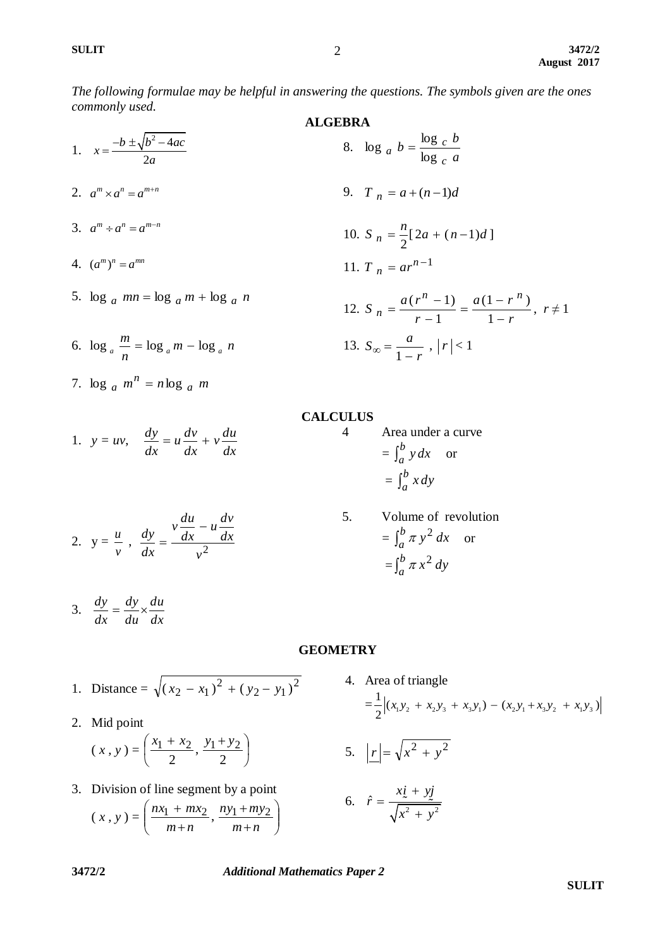*The following formulae may be helpful in answering the questions. The symbols given are the ones commonly used.*

| ALGEBRA                                                        |                                                                           |
|----------------------------------------------------------------|---------------------------------------------------------------------------|
| 1. $x = \frac{-b \pm \sqrt{b^2 - 4ac}}{2a}$                    | 8. $\log_a b = \frac{\log_c b}{\log_c a}$                                 |
| 2. $a^m \times a^n = a^{m+n}$                                  | 9. $T_n = a + (n-1)d$                                                     |
| 3. $a^m \div a^n = a^{m-n}$                                    | 10. $S_n = \frac{n}{2}[2a + (n-1)d]$                                      |
| 4. $(a^m)^n = a^{mn}$                                          | 11. $T_n = ar^{n-1}$                                                      |
| 5. $\log_a mn = \log_a m + \log_a n$                           | 12. $S_n = \frac{a(r^n - 1)}{r - 1} = \frac{a(1 - r^n)}{1 - r}, r \neq 1$ |
| 6. $\log_a \frac{m}{n} = \log_a m - \log_a n$                  | 13. $S_\infty = \frac{a}{1 - r},  r  < 1$                                 |
| 7. $\log_a m^n = n \log_a m$                                   | CALCULUS                                                                  |
| 1. $y = uv, \frac{dy}{dx} = u \frac{dv}{dx} + v \frac{du}{dx}$ | 4 Area under a curve                                                      |

2.  $y =$  $\frac{u}{v}$ ,  $\frac{dy}{dx} = \frac{dx}{v^2}$ *dx*  $u \frac{dv}{dt}$ *dx*  $v \frac{du}{dt}$  $\frac{dy}{dx} = \frac{v\frac{du}{dx} - v}{2}$ 

*dx*

*dx*

*dx*

*dx*

$$
3. \quad \frac{dy}{dx} = \frac{dy}{du} \times \frac{du}{dx}
$$

*v*

1. Distance = 
$$
\sqrt{(x_2 - x_1)^2 + (y_2 - y_1)^2}
$$

2. Mid point

$$
(x, y) = \left(\frac{x_1 + x_2}{2}, \frac{y_1 + y_2}{2}\right)
$$

3. Division of line segment by a point  $(x, y) = \left| \frac{nx_1 + mx_2}{m+n}, \frac{ny_1 + my_2}{m+n} \right|$ J  $\backslash$  $\overline{\phantom{a}}$  $\setminus$ ſ  $\ddot{}$  $\overline{+}$  $\ddot{}$  $\overline{+}$  $m + n$ *ny my*  $m + n$  $\frac{nx_1 + mx_2}{n}$ ,  $\frac{ny_1 + my_2}{n}$ 

5. Volume of revolution  
= 
$$
\int_{a}^{b} \pi y^{2} dx
$$
 or  
= 
$$
\int_{a}^{b} \pi x^{2} dy
$$

 $\int_a^b y dx$  or

 $\int_a^b x dy$ 

 $=\int_a^b$ 

 $=\int_a^b$ 

# **GEOMETRY**

4. Area of triangle  $=\frac{1}{2} \Big| (x_1 y_2 + x_2 y_3 + x_3 y_1) - (x_2 y_1 + x_3 y_2 + x_1 y_3) \Big|$ rea or triangle<br>  $\frac{1}{2} |(x_1y_2 + x_2y_3 + x_3y_1) - (x_2y_1 + x_3y_2 + x_1y_3)$ 

$$
5. \quad \left| \underline{r} \right| = \sqrt{x^2 + y^2}
$$

$$
6. \quad \hat{r} = \frac{x\underline{i} + y\underline{j}}{\sqrt{x^2 + y^2}}
$$

**3472/2** *Additional Mathematics Paper 2*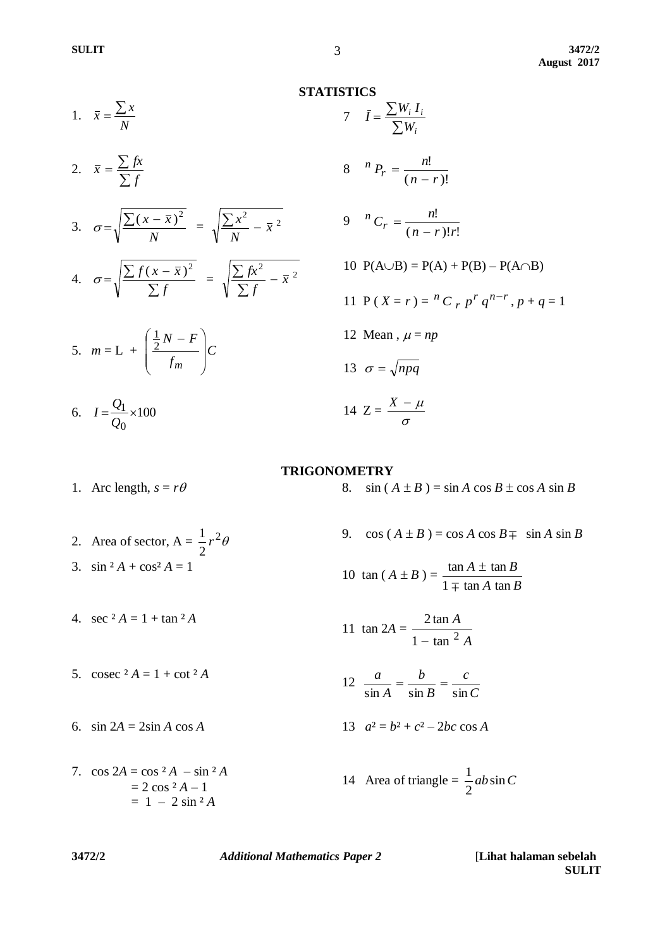$$
1. \quad \bar{x} = \frac{\sum x}{N}
$$

2. 
$$
\bar{x} = \frac{\sum fx}{\sum f}
$$

3. 
$$
\sigma = \sqrt{\frac{\sum (x - \bar{x})^2}{N}} = \sqrt{\frac{\sum x^2}{N} - \bar{x}^2}
$$
  
4.  $\sigma = \sqrt{\frac{\sum f(x - \bar{x})^2}{\sum f}} = \sqrt{\frac{\sum fx^2}{\sum f} - \bar{x}^2}$ 

$$
5. \quad m = \mathbf{L} + \left(\frac{\frac{1}{2}N - F}{f_m}\right)C
$$

6.  $I = \frac{Q_1}{Q} \times 100$ 0  $=\frac{Q_1}{\cdot} \times$ *Q*  $I=\frac{Q}{q}$ 

 $\sum$ *i W* 8  $(n - r)!$ !  $n - r$  $n P_r = \frac{n}{\sqrt{n}}$  $\overline{a}$  $=$ 9  $(n - r)! r!$ !  $n - r$ !*r*  $^{n}C_{r}=\frac{n}{\sqrt{n}}$  $\overline{a}$  $=$ 10  $P(A \cup B) = P(A) + P(B) - P(A \cap B)$ 11 P ( $X = r$ ) =  $^{n}C$   $_{r}p^{r}q^{n-r}$  $^{n}C$  *p*  $^{r}q^{n-r}$ , *p* + *q* = 1 12 Mean,  $\mu = np$ 13  $\sigma = \sqrt{npq}$ 14  $Z = \frac{A}{\sigma}$  $X - \mu$ 

#### **TRIGONOMETRY**

1. Arc length,  $s = r\theta$  8.  $\sin (A \pm B) = \sin A \cos B \pm \cos A \sin B$ 

2. Area of sector,  $A = \frac{1}{2}r^2\theta$ 2  $\frac{1}{2}r$ 3. sin  ${}^2A$  + cos  ${}^2A$  = 1

4. sec  ${}^2A = 1 + \tan {}^2A$ 

- 5. cosec  ${}^2A = 1 + \cot 2A$
- 6.  $\sin 2A = 2\sin A \cos A$  1

7.  $\cos 2A = \cos^2 A - \sin^2 A$  $= 2 \cos 2A - 1$  $= 1 - 2 \sin^2 2A$ 

9. cos  $(A \pm B) = \cos A \cos B \mp \sin A \sin B$ 

10 tan (A ± B) = 
$$
\frac{\tan A \pm \tan B}{1 \mp \tan A \tan B}
$$

$$
11 \tan 2A = \frac{2 \tan A}{1 - \tan^2 A}
$$

$$
12 \frac{a}{\sin A} = \frac{b}{\sin B} = \frac{c}{\sin C}
$$

$$
a^2 = b^2 + c^2 - 2bc \cos A
$$

14 Area of triangle = 
$$
\frac{1}{2}ab\sin C
$$

**3472/2** *Additional Mathematics Paper 2* [**Lihat halaman sebelah**

**SULIT**

**STATISTICS**

7

 $=\frac{\sum}{}$ 

 $\bar{I} = \frac{\sum W_i I}{\sum W_i}$ 

*i i*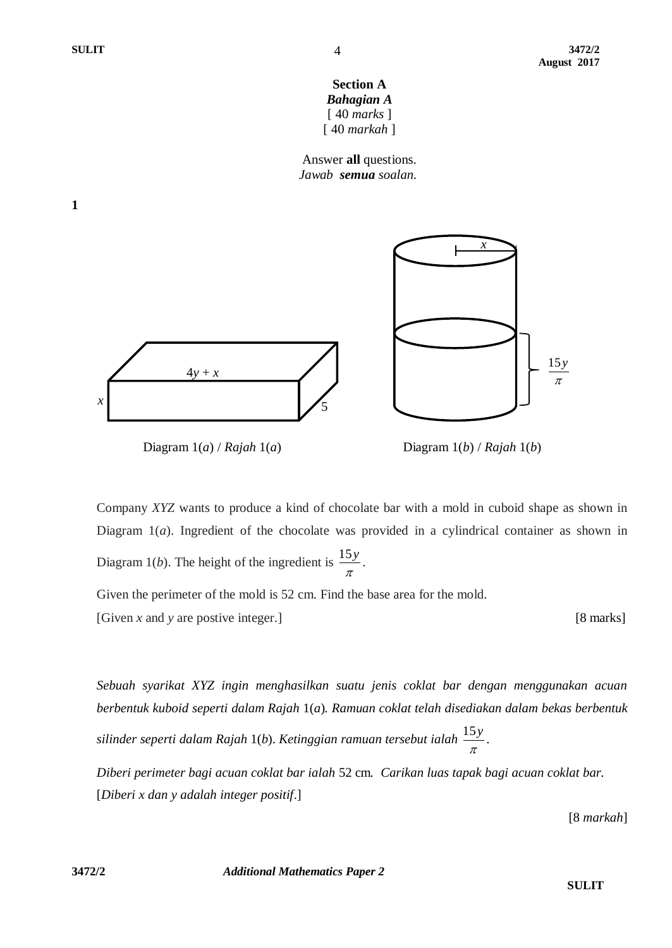**1**



Answer **all** questions.  *Jawab semua soalan.*



Diagram 1(*a*) / *Rajah* 1(*a*) Diagram 1(*b*) / *Rajah* 1(*b*)

Company *XYZ* wants to produce a kind of chocolate bar with a mold in cuboid shape as shown in Diagram 1(*a*). Ingredient of the chocolate was provided in a cylindrical container as shown in Diagram 1(*b*). The height of the ingredient is 15*y*  $\frac{\partial y}{\partial \tau}$ .

Given the perimeter of the mold is 52 cm. Find the base area for the mold.

[Given *x* and *y* are postive integer.] [8 marks]

*Sebuah syarikat XYZ ingin menghasilkan suatu jenis coklat bar dengan menggunakan acuan berbentuk kuboid seperti dalam Rajah* 1(*a*)*. Ramuan coklat telah disediakan dalam bekas berbentuk silinder seperti dalam Rajah* 1(*b*). *Ketinggian ramuan tersebut ialah* 15*y*  $\frac{\partial y}{\partial \tau}$ .

*Diberi perimeter bagi acuan coklat bar ialah* 52 cm*. Carikan luas tapak bagi acuan coklat bar.* [*Diberi x dan y adalah integer positif*.]

[8 *markah*]

**3472/2** *Additional Mathematics Paper 2*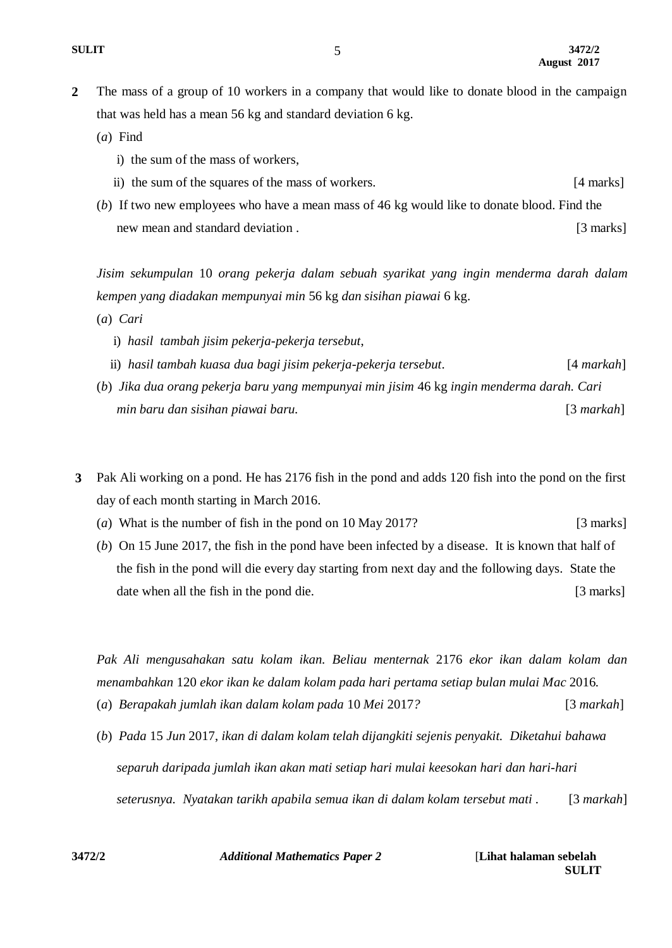- **2** The mass of a group of 10 workers in a company that would like to donate blood in the campaign that was held has a mean 56 kg and standard deviation 6 kg.
	- (*a*) Find
		- i) the sum of the mass of workers,
		- ii) the sum of the squares of the mass of workers. [4 marks]
	- (*b*) If two new employees who have a mean mass of 46 kg would like to donate blood. Find the new mean and standard deviation . [3 marks]

*Jisim sekumpulan* 10 *orang pekerja dalam sebuah syarikat yang ingin menderma darah dalam kempen yang diadakan mempunyai min* 56 kg *dan sisihan piawai* 6 kg.

- (*a*) *Cari*
	- i) *hasil tambah jisim pekerja-pekerja tersebut*,
	- ii) *hasil tambah kuasa dua bagi jisim pekerja-pekerja tersebut*. [4 *markah*]
- (*b*) *Jika dua orang pekerja baru yang mempunyai min jisim* 46 kg *ingin menderma darah. Cari min baru dan sisihan piawai baru.* [3 *markah*]
- **3** Pak Ali working on a pond. He has 2176 fish in the pond and adds 120 fish into the pond on the first day of each month starting in March 2016.
	- (*a*) What is the number of fish in the pond on 10 May 2017? [3 marks]
	- (*b*) On 15 June 2017, the fish in the pond have been infected by a disease. It is known that half of the fish in the pond will die every day starting from next day and the following days. State the date when all the fish in the pond die. [3 marks]

*Pak Ali mengusahakan satu kolam ikan. Beliau menternak* 2176 *ekor ikan dalam kolam dan menambahkan* 120 *ekor ikan ke dalam kolam pada hari pertama setiap bulan mulai Mac* 2016*.*

- (*a*) *Berapakah jumlah ikan dalam kolam pada* 10 *Mei* 2017*?* [3 *markah*]
- (*b*) *Pada* 15 *Jun* 2017, *ikan di dalam kolam telah dijangkiti sejenis penyakit. Diketahui bahawa separuh daripada jumlah ikan akan mati setiap hari mulai keesokan hari dan hari-hari seterusnya. Nyatakan tarikh apabila semua ikan di dalam kolam tersebut mati* .[3 *markah*]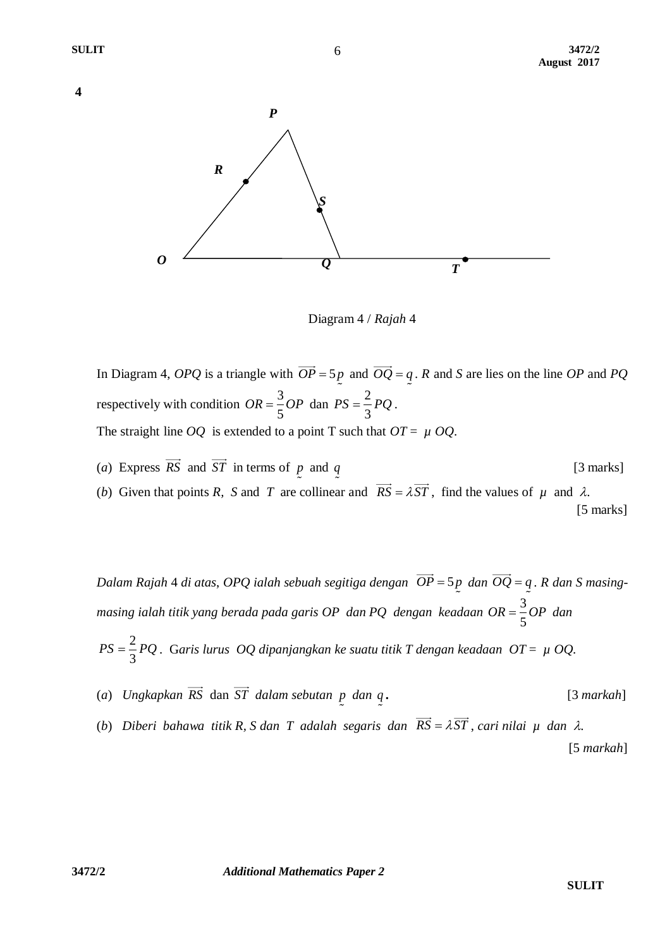



Diagram 4 / *Rajah* 4

In Diagram 4, *OPQ* is a triangle with  $OP = 5p$  and  $OQ = q$ . *R* and *S* are lies on the line *OP* and *PQ* respectively with condition  $OR = \frac{3}{5}$ 5  $OR = \frac{3}{5}OP$  dan  $PS = \frac{2}{5}$ 3  $PS = \frac{2}{3}PQ$ . The straight line *OQ* is extended to a point T such that  $OT = \mu OQ$ .

(*a*) Express *RS* and *ST* in terms of *p* and *q* [3 marks]

(*b*) Given that points *R*, *S* and *T* are collinear and  $\overrightarrow{RS} = \lambda \overrightarrow{ST}$ , find the values of  $\mu$  and  $\lambda$ . [5 marks]

*Dalam Rajah* 4 *di atas, OPQ ialah sebuah segitiga dengan*  $OP = 5p$  *dan*  $OQ = q$ . *R dan S masingmasing ialah titik yang berada pada garis OP dan PQ dengan keadaan* 3 5  $OR = \frac{3}{2}OP$  dan

2 3 *PS PQ* . G*aris lurus OQ dipanjangkan ke suatu titik T dengan keadaan OT* = *µOQ*.

- (*a*) *Ungkapkan RS* dan *ST dalam sebutan p dan q .* [3 *markah*]
- (*b*) *Diberi bahawa titik R, S dan T adalah segaris dan*  $RS = \lambda ST$ *, cari nilai*  $\mu$  *dan*  $\lambda$ *.* [5 *markah*]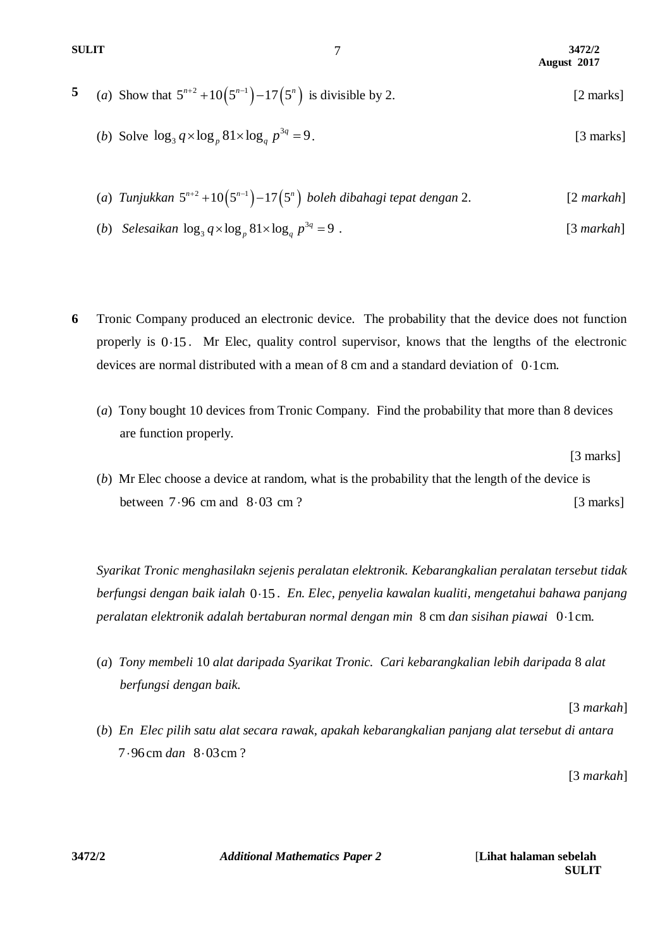**SULIT 3472/2 August 2017**

5 (a) Show that 
$$
5^{n+2} + 10(5^{n-1}) - 17(5^n)
$$
 is divisible by 2. [2 marks]

- (*b*) Solve  $\log_3 q \times \log_n 81 \times \log_a p^3$  $\log_3 q \times \log_p 81 \times \log_q p^{3q} = 9$ . [3 marks]
- (a)  $T$ unjukkan  $5^{n+2}$  + 10 $(5^{n-1})$  17 $(5^n)$  boleh dibahagi tepat dengan 2. [2 *markah*]
- (*b*) *Selesaikan*  $\log_3 q \times \log_a 81 \times \log_a p^3$  $\log_3 q \times \log_p 81 \times \log_q p^{3q} = 9$ . [3 *markah*]
- **6** Tronic Company produced an electronic device. The probability that the device does not function properly is 0.15. Mr Elec, quality control supervisor, knows that the lengths of the electronic devices are normal distributed with a mean of  $8 \text{ cm}$  and a standard deviation of  $0.1 \text{ cm}$ .
	- (*a*) Tony bought 10 devices from Tronic Company. Find the probability that more than 8 devices are function properly.

[3 marks]

(*b*) Mr Elec choose a device at random, what is the probability that the length of the device is between  $7.96$  cm and  $8.03$  $[3$  marks]

*Syarikat Tronic menghasilakn sejenis peralatan elektronik. Kebarangkalian peralatan tersebut tidak berfungsi dengan baik ialah*  0 15 . *En. Elec, penyelia kawalan kualiti, mengetahui bahawa panjang*  peralatan elektronik adalah bertaburan normal dengan min 8 cm dan sisihan piawai 0·1 cm.

(*a*) *Tony membeli* 10 *alat daripada Syarikat Tronic. Cari kebarangkalian lebih daripada* 8 *alat berfungsi dengan baik.* 

[3 *markah*]

(*b*) *En Elec pilih satu alat secara rawak, apakah kebarangkalian panjang alat tersebut di antara* 7 96 cm *dan* 8 03 cm ?

[3 *markah*]

**3472/2** *Additional Mathematics Paper 2* [**Lihat halaman sebelah**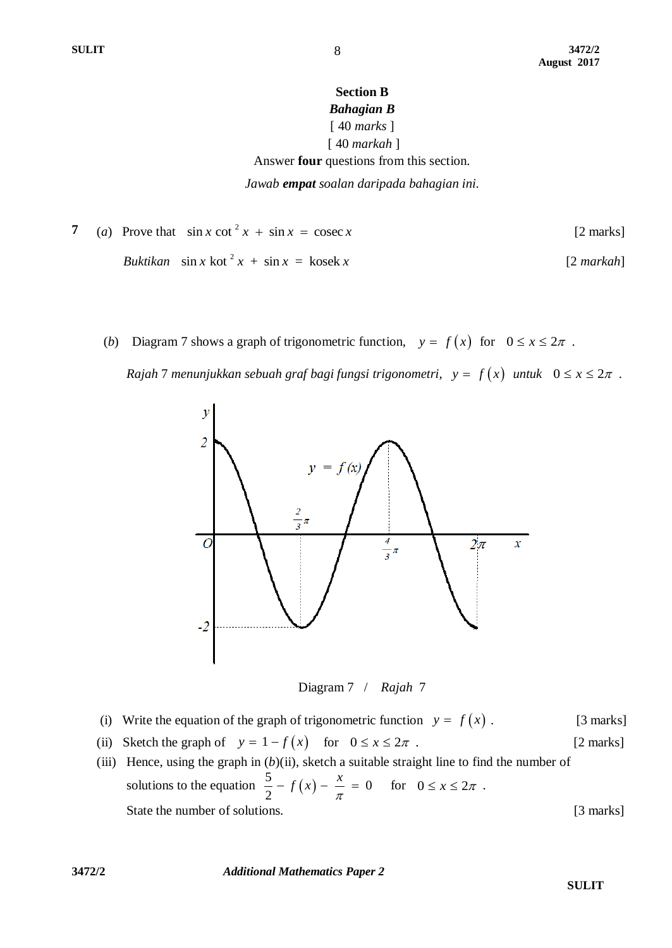## **Section B** *Bahagian B* [ 40 *marks* ]

#### [ 40 *markah* ] Answer **four** questions from this section.

*Jawab empat soalan daripada bahagian ini.*

7 (a) Prove that 
$$
\sin x \cot^2 x + \sin x = \csc x
$$
 [2 marks]  
\n*Buktikan*  $\sin x \cot^2 x + \sin x = \text{kosek } x$  [2 *markah*]

(*b*) Diagram 7 shows a graph of trigonometric function,  $y = f(x)$  for  $0 \le x \le 2\pi$ .

*Rajah* 7 *menunjukkan sebuah graf bagi fungsi trigonometri,*  $y = f(x)$  *untuk*  $0 \le x \le 2\pi$ .



Diagram 7 / *Rajah* 7

- (i) Write the equation of the graph of trigonometric function  $y = f(x)$ . [3 marks]
- (ii) Sketch the graph of  $y = 1 f(x)$  for  $0 \le x \le 2\pi$ . [2 marks]
- (iii) Hence, using the graph in (*b*)(ii), sketch a suitable straight line to find the number of solutions to the equation  $\frac{3}{2} - f(x)$  $\frac{5}{2} - f(x) - \frac{x}{x} = 0$ 2  $-f(x) - \frac{x}{\pi} = 0$  for  $0 \le x \le 2\pi$ . State the number of solutions. [3 marks]

**3472/2** *Additional Mathematics Paper 2*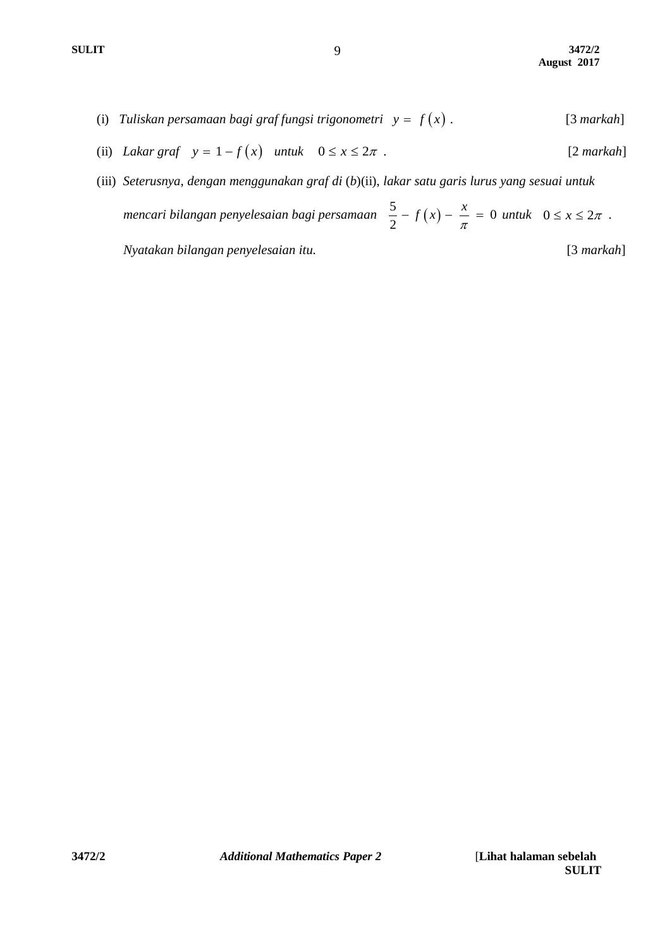- (i) *Tuliskan persamaan bagi graf fungsi trigonometri*  $y = f(x)$ . [3 *markah*]
- (ii) *Lakar graf*  $y = 1 f(x)$  *untuk*  $0 \le x \le 2\pi$ . [2 *markah*]
- (iii) *Seterusnya, dengan menggunakan graf di* (*b*)(ii), *lakar satu garis lurus yang sesuai untuk mencari bilangan penyelesaian bagi persamaan*   $\frac{5}{2} - f(x) - \frac{x}{x} = 0$ 2  $f(x) - \frac{x}{\pi} = 0$  *untuk*  $0 \le x \le 2\pi$ .  *Nyatakan bilangan penyelesaian itu.* [3 *markah*]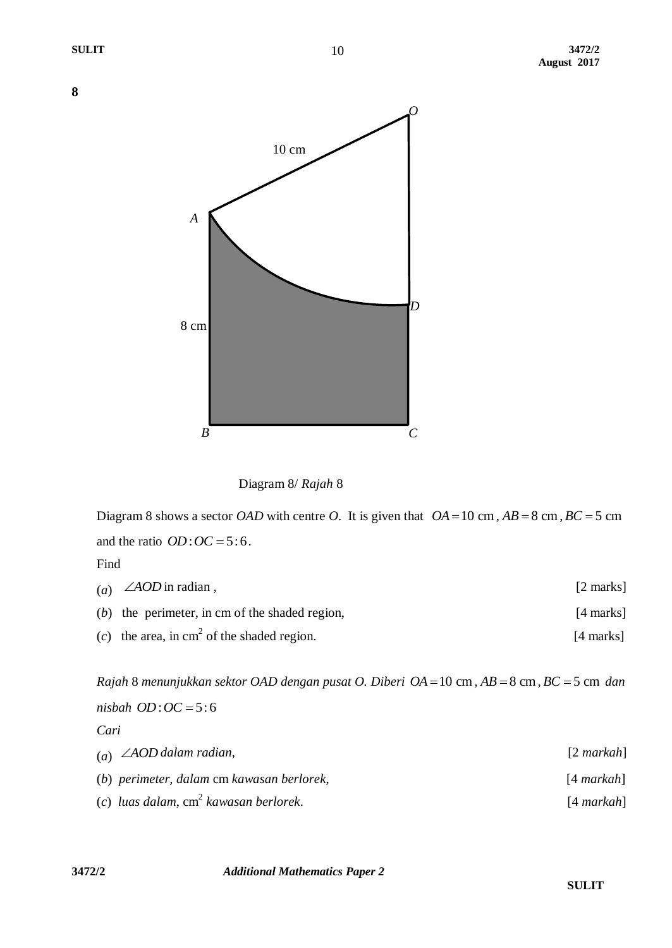



Diagram 8 shows a sector *OAD* with centre *O*. It is given that  $OA = 10$  cm,  $AB = 8$  cm,  $BC = 5$  cm and the ratio  $OD:OC = 5:6$ .

Find

| (a) $\angle AOD$ in radian,                          | $[2 \text{ marks}]$ |
|------------------------------------------------------|---------------------|
| $(b)$ the perimeter, in cm of the shaded region,     | [4 marks]           |
| (c) the area, in $\text{cm}^2$ of the shaded region. | [4 marks]           |

*Rajah* 8 *menunjukkan sektor OAD dengan pusat O. Diberi OA* = 10 cm,  $AB = 8$  cm,  $BC = 5$  cm *dan*  $$ *Cari*

| (a) $\angle AOD$ dalam radian,            | $[2$ markah] |
|-------------------------------------------|--------------|
| (b) perimeter, dalam cm kawasan berlorek, | $[4$ markah] |
| (c) luas dalam, $cm2$ kawasan berlorek.   | $[4$ markah] |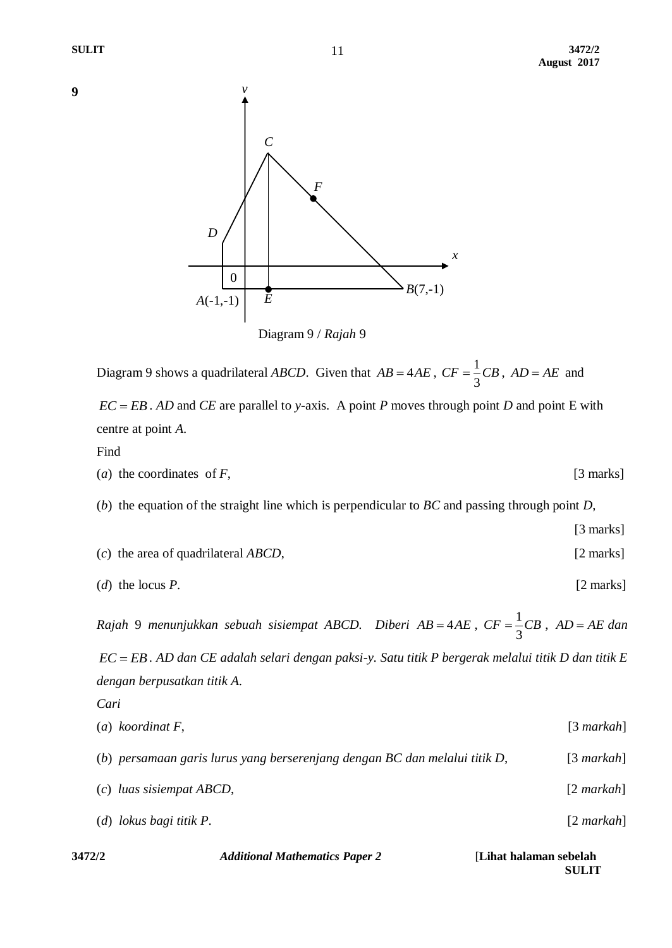



Diagram 9 shows a quadrilateral *ABCD*. Given that  $AB = 4AE$ ,  $CF = \frac{1}{2}$ 3  $CF = \frac{1}{2}CB$ ,  $AD = AE$  and  $\mathbf{EC} = \mathbf{EB}$ . *AD* and  $\mathbf{CE}$  are parallel to *y*-axis. A point *P* moves through point *D* and point E with

centre at point *A*.

Find

*Cari*

(*a*) the coordinates of *F*, [3 marks]

(*b*) the equation of the straight line which is perpendicular to *BC* and passing through point *D*,

- [3 marks] (*c*) the area of quadrilateral *ABCD*, [2 marks]
- (*d*) the locus *P*. [2 marks]

Rajah 9 menunjukkan sebuah sisiempat ABCD. Diberi AB=4AE, CF= $\frac{1}{2}$ 3  $CF = \frac{1}{6}CB$ ,  $AD = AE$  dan

*EC EB . AD dan CE adalah selari dengan paksi-y. Satu titik P bergerak melalui titik D dan titik E dengan berpusatkan titik A.*

| $(a)$ koordinat F,                                                         | $[3$ markah] |
|----------------------------------------------------------------------------|--------------|
| (b) persamaan garis lurus yang berserenjang dengan BC dan melalui titik D, | $[3$ markah] |
| $(c)$ luas sisiempat ABCD,                                                 | $[2$ markah] |
| $(d)$ lokus bagi titik P.                                                  | $[2$ markah] |
|                                                                            |              |

| 3472/2 | <b>Additional Mathematics Paper 2</b> | [Lihat halaman sebelah] |
|--------|---------------------------------------|-------------------------|
|        |                                       | <b>SULIT</b>            |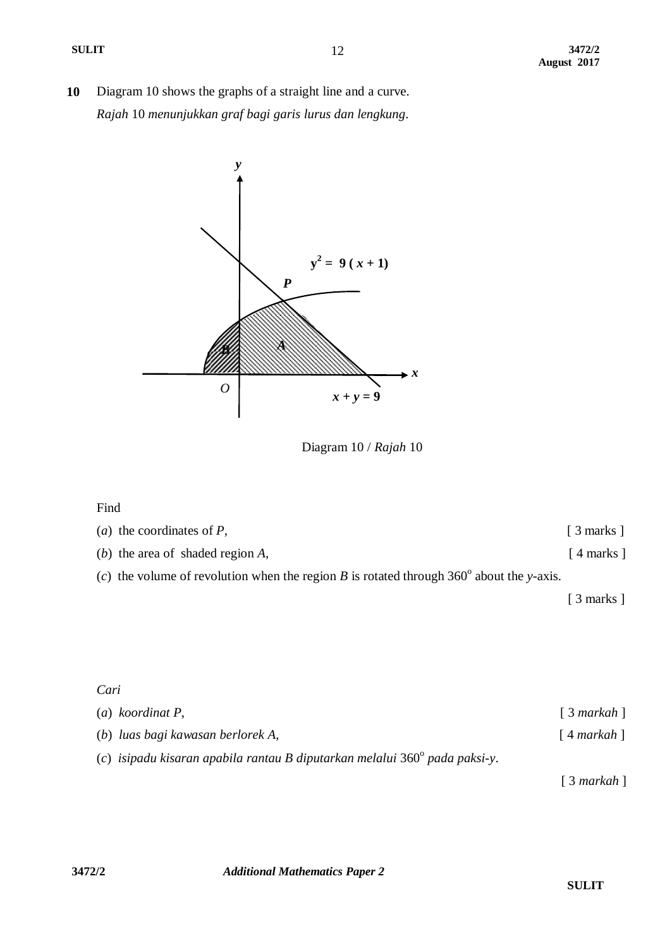**10** Diagram 10 shows the graphs of a straight line and a curve. *Rajah* 10 *menunjukkan graf bagi garis lurus dan lengkung*.



Diagram 10 / *Rajah* 10

## Find

| ( <i>a</i> ) the coordinates of $P$ ,                                                              | $\lceil 3 \text{ marks } \rceil$ |
|----------------------------------------------------------------------------------------------------|----------------------------------|
| (b) the area of shaded region $A$ ,                                                                | $\lceil 4 \text{ marks } \rceil$ |
| (c) the volume of revolution when the region B is rotated through 360 $^{\circ}$ about the y-axis. |                                  |
|                                                                                                    | $\lceil 3 \text{ marks } \rceil$ |

## *Cari*

| $(a)$ koordinat P,                                                                   | $\lceil 3 \text{ markah } \rceil$ |
|--------------------------------------------------------------------------------------|-----------------------------------|
| (b) luas bagi kawasan berlorek A,                                                    | $\lceil 4$ markah $\rceil$        |
| (c) isipadu kisaran apabila rantau B diputarkan melalui 360 $^{\circ}$ pada paksi-y. |                                   |

[ 3 *markah* ]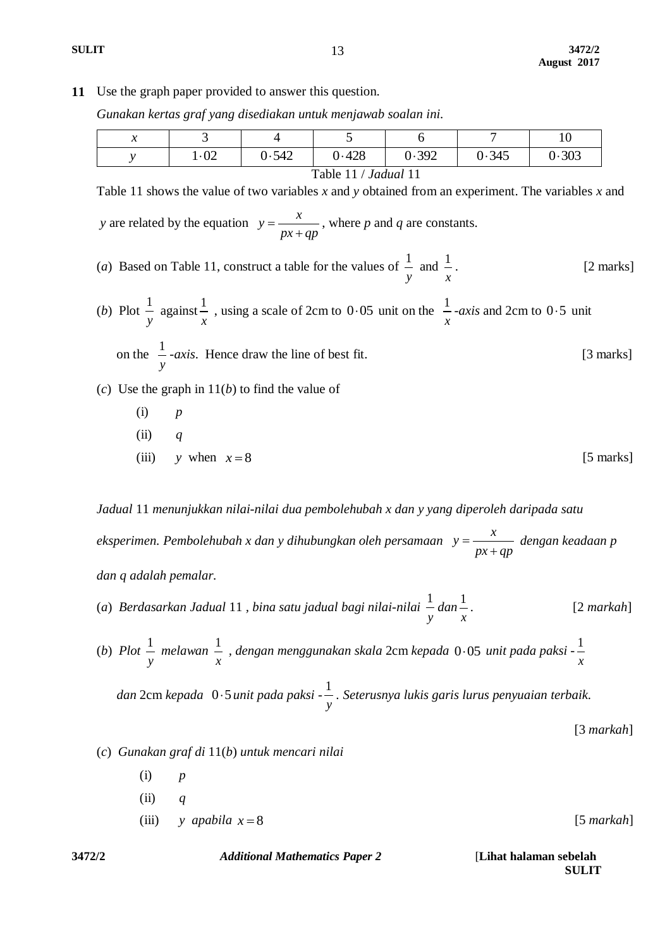13

**11** Use the graph paper provided to answer this question.

*Gunakan kertas graf yang disediakan untuk menjawab soalan ini.*

|                                                                                                    | $1 - 02$ | 0.542 | 0.428 | 0.392 | 0.345 | 0.303 |  |
|----------------------------------------------------------------------------------------------------|----------|-------|-------|-------|-------|-------|--|
| Table 11 / <i>Jadual</i> 11                                                                        |          |       |       |       |       |       |  |
| Table 11 shows the value of two variables x and y obtained from an experiment. The variables x and |          |       |       |       |       |       |  |

*y* are related by the equation  $y = \frac{x}{x}$  $px + qp$  $=$  $\ddot{}$ , where *p* and *q* are constants.

(*a*) Based on Table 11, construct a table for the values of  $\frac{1}{1}$ *y* and  $\frac{1}{x}$ *x* [2 marks]

(b) Plot 
$$
\frac{1}{y}
$$
 against  $\frac{1}{x}$ , using a scale of 2cm to 0.05 unit on the  $\frac{1}{x}$ -axis and 2cm to 0.5 unit on the  $\frac{1}{y}$ -axis. Hence draw the line of best fit. [3 marks]

(*c*) Use the graph in 11(*b*) to find the value of

(i) 
$$
p
$$
  
\n(ii)  $q$   
\n(iii)  $y$  when  $x = 8$  [5 marks]

*Jadual* 11 *menunjukkan nilai-nilai dua pembolehubah x dan y yang diperoleh daripada satu eksperimen. Pembolehubah x dan y dihubungkan oleh persamaan x y*

 $px + qp$  $=$  $\ddot{}$ *dengan keadaan p dan q adalah pemalar.*

- (*a*) *Berdasarkan Jadual* 11 *, bina satu jadual bagi nilai-nilai*  1 *y dan* 1 *x .* [2 *markah*]
- (*b*)  $Plot \frac{1}{t}$ *y melawan*  1 *x , dengan menggunakan skala* 2cm *kepada* 0 05 *unit pada paksi -* 1 *x*

 *dan* 2cm *kepada*  0 5 *unit pada paksi -* 1 *y . Seterusnya lukis garis lurus penyuaian terbaik.* 

[3 *markah*]

- (*c*) *Gunakan graf di* 11(*b*) *untuk mencari nilai* 
	- (i) *p* (ii) *q* (iii) *y apabila*  $x = 8$ *x* 8[5 *markah*]

**3472/2** *Additional Mathematics Paper 2* [**Lihat halaman sebelah**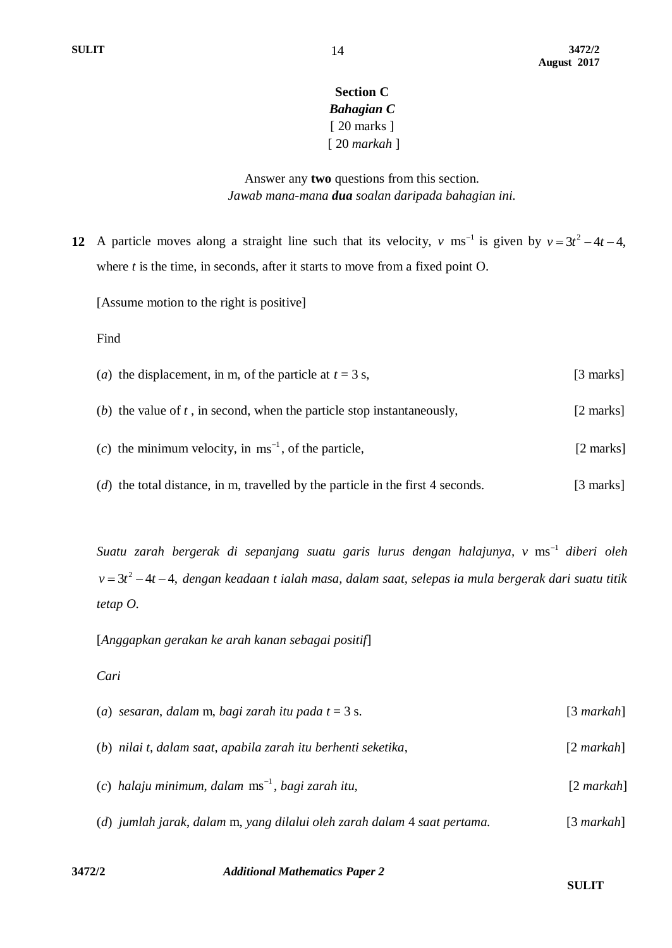## **Section C** *Bahagian C* [ 20 marks ] [ 20 *markah* ]

Answer any **two** questions from this section. *Jawab mana-mana dua soalan daripada bahagian ini.*

**12** A particle moves along a straight line such that its velocity, v ms<sup>-1</sup> is given by  $v = 3t^2 - 4t - 4$ , where *t* is the time, in seconds, after it starts to move from a fixed point O.

[Assume motion to the right is positive]

Find

- (*a*) the displacement, in m, of the particle at  $t = 3$  s, [3 marks] (*b*) the value of *t* , in second, when the particle stop instantaneously, [2 marks] (*c*) the minimum velocity, in  $ms^{-1}$ , of the particle, [2 marks]
- (*d*) the total distance, in m, travelled by the particle in the first 4 seconds. [3 marks]

Suatu zarah bergerak di sepanjang suatu garis lurus dengan halajunya, v  $\mathrm{ms}^{-1}$  diberi oleh v = 3t<sup>2</sup> – 4t – 4, dengan keadaan t ialah masa, dalam saat, selepas ia mula bergerak dari suatu titik *tetap O.*

[*Anggapkan gerakan ke arah kanan sebagai positif*]

*Cari*

| (a) sesaran, dalam m, bagi zarah itu pada $t = 3$ s.                     | $[3$ markah] |
|--------------------------------------------------------------------------|--------------|
| (b) nilai t, dalam saat, apabila zarah itu berhenti seketika,            | $[2$ markah] |
| (c) halaju minimum, dalam $ms^{-1}$ , bagi zarah itu,                    | $[2$ markah] |
| (d) jumlah jarak, dalam m, yang dilalui oleh zarah dalam 4 saat pertama. | $[3$ markah] |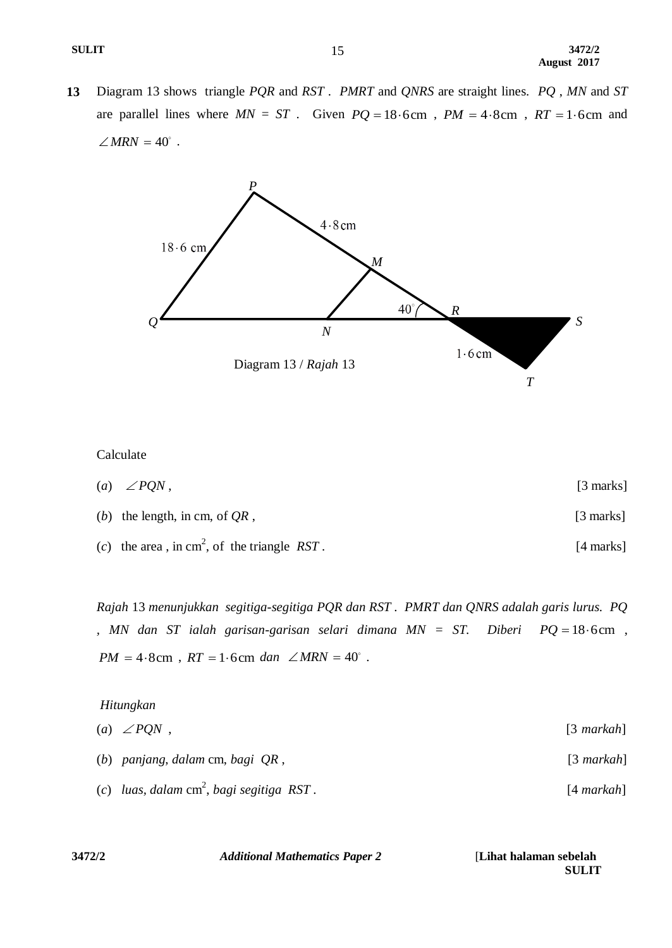**13** Diagram 13 shows triangle *PQR* and *RST* . *PMRT* and *QNRS* are straight lines. *PQ* , *MN* and *ST* are parallel lines where  $MN = ST$ . Given  $PQ = 18.6 \text{cm}$ ,  $PM = 4.8 \text{cm}$ ,  $RT = 1.6 \text{cm}$  and  $\angle MRN = 40^\circ$ .



Calculate

(*a*)  $\angle PQN$ , [3 marks] (*b*) the length, in cm, of *QR* , [3 marks] (*c*) the area, in cm<sup>2</sup>, of the triangle *RST*. [4 marks]

*Rajah* 13 *menunjukkan segitiga-segitiga PQR dan RST . PMRT dan QNRS adalah garis lurus. PQ , MN dan ST ialah garisan-garisan selari dimana MN = ST. Diberi*   $PQ = 18.6$ cm,  $PM = 4.8 \text{cm}$ ,  $RT = 1.6 \text{cm}$  dan  $\angle MRN = 40^\circ$ .

| Hitungkan                                   |              |  |  |
|---------------------------------------------|--------------|--|--|
| (a) $\angle PQN$ ,                          | $[3$ markah] |  |  |
| (b) panjang, dalam cm, bagi $QR$ ,          | $[3$ markah] |  |  |
| (c) luas, dalam $cm^2$ , bagi segitiga RST. | $[4$ markah] |  |  |

| 3472/2 | <b>Additional Mathematics Paper 2</b> | [Lihat halaman sebelah] |
|--------|---------------------------------------|-------------------------|
|        |                                       | <b>SULIT</b>            |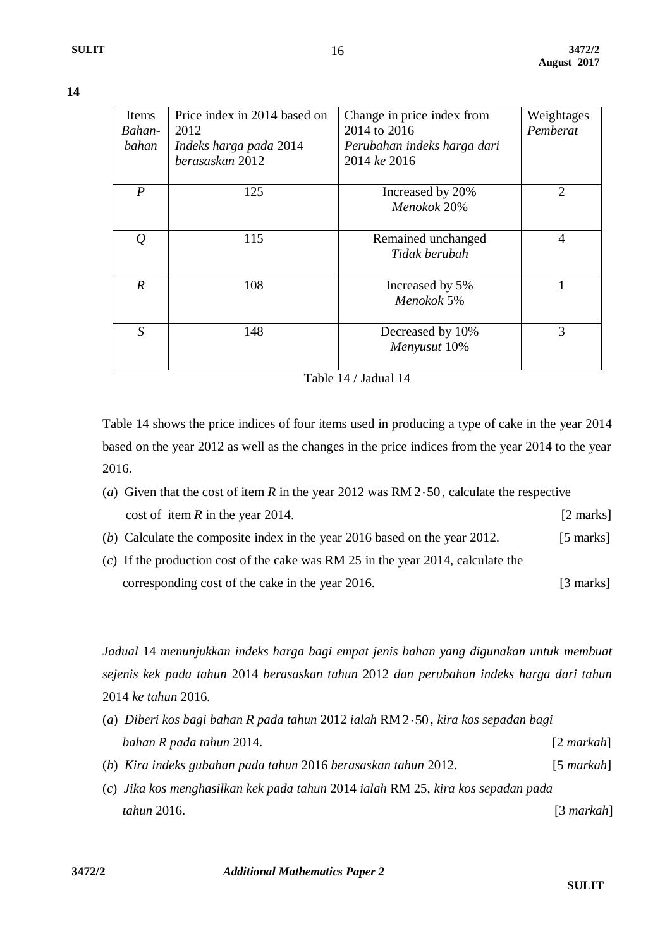| ٧ |  |
|---|--|
|   |  |

| Items            | Price index in 2014 based on | Change in price index from  | Weightages     |
|------------------|------------------------------|-----------------------------|----------------|
| Bahan-           | 2012                         | 2014 to 2016                | Pemberat       |
| bahan            | Indeks harga pada 2014       | Perubahan indeks harga dari |                |
|                  | berasaskan 2012              | 2014 ke 2016                |                |
|                  |                              |                             |                |
| $\boldsymbol{P}$ | 125                          | Increased by 20%            | $\overline{2}$ |
|                  |                              | Menokok 20%                 |                |
|                  |                              |                             |                |
| Q                | 115                          | Remained unchanged          | $\overline{4}$ |
|                  |                              | Tidak berubah               |                |
|                  |                              |                             |                |
| $\boldsymbol{R}$ | 108                          | Increased by 5%             |                |
|                  |                              | Menokok 5%                  |                |
|                  |                              |                             |                |
| S                | 148                          | Decreased by 10%            | 3              |
|                  |                              | Menyusut 10%                |                |
|                  |                              |                             |                |

16

Table 14 / Jadual 14

Table 14 shows the price indices of four items used in producing a type of cake in the year 2014 based on the year 2012 as well as the changes in the price indices from the year 2014 to the year 2016.

- (*a*) Given that the cost of item  $R$  in the year 2012 was  $RM 2.50$ , calculate the respective cost of item *R* in the year 2014. [2 marks]
- (*b*) Calculate the composite index in the year 2016 based on the year 2012. [5 marks]
- (*c*) If the production cost of the cake was RM 25 in the year 2014, calculate the corresponding cost of the cake in the year 2016. [3 marks]

*Jadual* 14 *menunjukkan indeks harga bagi empat jenis bahan yang digunakan untuk membuat sejenis kek pada tahun* 2014 *berasaskan tahun* 2012 *dan perubahan indeks harga dari tahun*  2014 *ke tahun* 2016.

| (a) Diberi kos bagi bahan R pada tahun 2012 ialah RM $2.50$ , kira kos sepadan bagi |              |
|-------------------------------------------------------------------------------------|--------------|
| bahan R pada tahun 2014.                                                            | $[2$ markah] |
| (b) Kira indeks gubahan pada tahun 2016 berasaskan tahun 2012.                      | $[5$ markah] |
| (c) Jika kos menghasilkan kek pada tahun 2014 ialah RM 25, kira kos sepadan pada    |              |

 *tahun* 2016. [3 *markah*]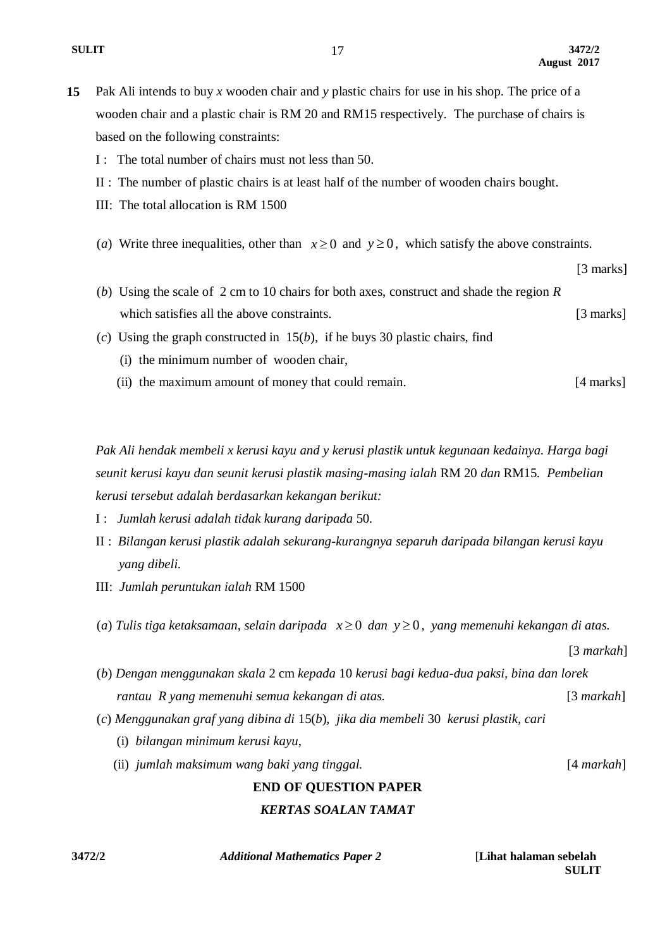[3 marks]

**15** Pak Ali intends to buy *x* wooden chair and *y* plastic chairs for use in his shop. The price of a wooden chair and a plastic chair is RM 20 and RM15 respectively. The purchase of chairs is based on the following constraints:

17

- I : The total number of chairs must not less than 50.
- II : The number of plastic chairs is at least half of the number of wooden chairs bought.
- III: The total allocation is RM 1500
- (*a*) Write three inequalities, other than  $x \ge 0$  and  $y \ge 0$ , which satisfy the above constraints.
- (*b*) Using the scale of 2 cm to 10 chairs for both axes, construct and shade the region *R* which satisfies all the above constraints. [3 marks]
- (*c*) Using the graph constructed in 15(*b*), if he buys 30 plastic chairs, find
	- (i) the minimum number of wooden chair,
	- (ii) the maximum amount of money that could remain. [4 marks]

*Pak Ali hendak membeli x kerusi kayu and y kerusi plastik untuk kegunaan kedainya. Harga bagi seunit kerusi kayu dan seunit kerusi plastik masing-masing ialah* RM 20 *dan* RM15*. Pembelian kerusi tersebut adalah berdasarkan kekangan berikut:*

- I : *Jumlah kerusi adalah tidak kurang daripada* 50*.*
- II : *Bilangan kerusi plastik adalah sekurang-kurangnya separuh daripada bilangan kerusi kayu yang dibeli.*
- III: *Jumlah peruntukan ialah* RM 1500
- $(a)$  *Tulis tiga ketaksamaan, selain daripada*  $x \ge 0$  *dan*  $y \ge 0$ , yang memenuhi kekangan di atas.

(*b*) *Dengan menggunakan skala* 2 cm *kepada* 10 *kerusi bagi kedua-dua paksi, bina dan lorek rantau R yang memenuhi semua kekangan di atas.* [3 *markah*]

- (*c*) *Menggunakan graf yang dibina di* 15(*b*), *jika dia membeli* 30 *kerusi plastik, cari* 
	- (i) *bilangan minimum kerusi kayu*,
	- (ii) *jumlah maksimum wang baki yang tinggal.* [4 *markah*]

[3 *markah*]

# **END OF QUESTION PAPER** *KERTAS SOALAN TAMAT*

**3472/2** *Additional Mathematics Paper 2* [**Lihat halaman sebelah**